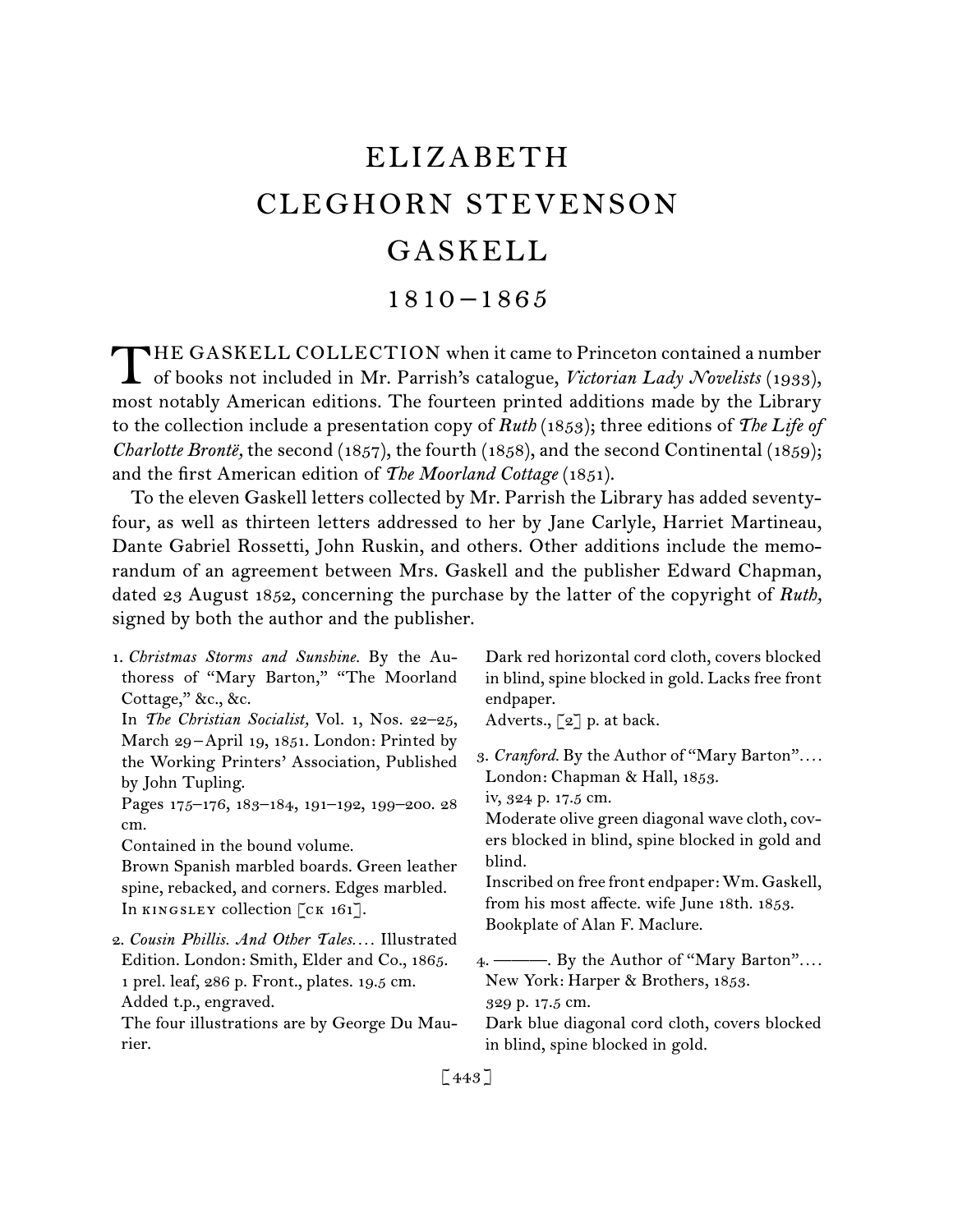# ELIZABETH CLEGHORN STEVENSON GASKELL

# 1810 –1865

THE GASKELL COLLECTION when it came to Princeton contained a number<br>of books not included in Mr. Parrish's catalogue, Victorian Lady Novelists (1933), of books not included in Mr. Parrish's catalogue, *Victorian Lady Novelists* (1933), most notably American editions. The fourteen printed additions made by the Library to the collection include a presentation copy of *Ruth* (1853); three editions of *The Life of Charlotte Brontë,* the second (1857), the fourth (1858), and the second Continental (1859); and the first American edition of *The Moorland Cottage* (1851).

To the eleven Gaskell letters collected by Mr. Parrish the Library has added seventyfour, as well as thirteen letters addressed to her by Jane Carlyle, Harriet Martineau, Dante Gabriel Rossetti, John Ruskin, and others. Other additions include the memorandum of an agreement between Mrs. Gaskell and the publisher Edward Chapman, dated 23 August 1852, concerning the purchase by the latter of the copyright of *Ruth,*  signed by both the author and the publisher.

| Dark red horizontal cord cloth, covers blocked<br>in blind, spine blocked in gold. Lacks free front<br>endpaper.<br>Adverts., $\lceil 2 \rceil$ p. at back.                                                        |
|--------------------------------------------------------------------------------------------------------------------------------------------------------------------------------------------------------------------|
| 3. Cranford. By the Author of "Mary Barton"<br>London: Chapman & Hall, 1853.<br>iv, 324 p. 17.5 cm.<br>Moderate olive green diagonal wave cloth, cov-<br>ers blocked in blind, spine blocked in gold and<br>blind. |
| Inscribed on free front endpaper: Wm. Gaskell,<br>from his most affecte. wife June 18th. 1853.<br>Bookplate of Alan F. Maclure.                                                                                    |
| 4. — By the Author of "Mary Barton"<br>New York: Harper & Brothers, 1853.<br>329 p. 17.5 cm.<br>Dark blue diagonal cord cloth, covers blocked<br>in blind, spine blocked in gold.                                  |
|                                                                                                                                                                                                                    |

[ 443 ]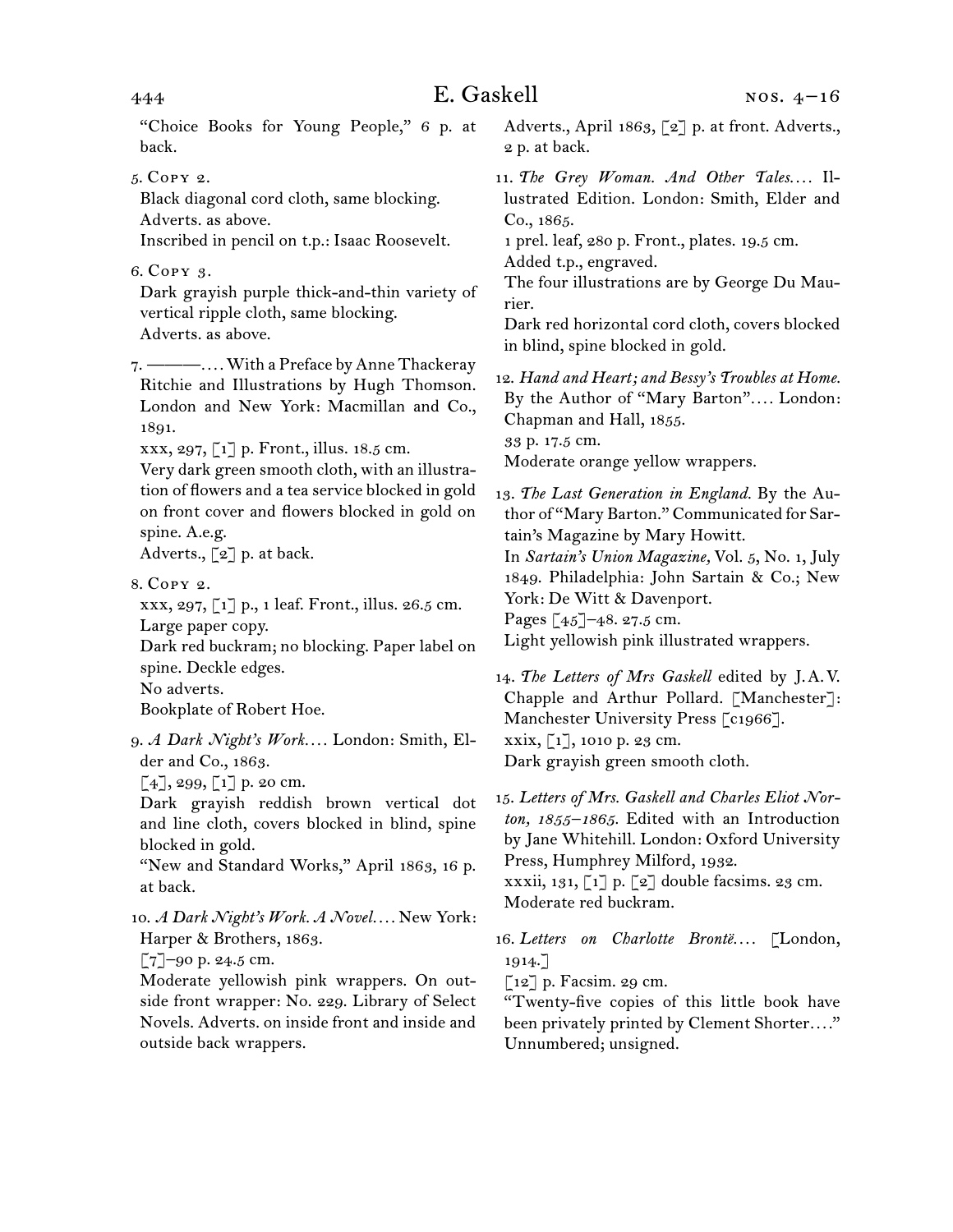"Choice Books for Young People," 6 p. at back.

5.  Copy 2.

Black diagonal cord cloth, same blocking. Adverts. as above.

Inscribed in pencil on t.p.: Isaac Roosevelt.

6.  Copy 3.

Dark grayish purple thick-and-thin variety of vertical ripple cloth, same blocking. Adverts. as above.

7.  ———*. . . .* With a Preface by Anne Thackeray Ritchie and Illustrations by Hugh Thomson. London and New York: Macmillan and Co., 1891.

xxx, 297, [1] p. Front., illus. 18.5 cm.

Very dark green smooth cloth, with an illustration of flowers and a tea service blocked in gold on front cover and flowers blocked in gold on spine. A.e.g.

Adverts.,  $\lceil 2 \rceil$  p. at back.

8. Copy 2.

xxx, 297, [1] p., 1 leaf. Front., illus. 26.5 cm. Large paper copy. Dark red buckram; no blocking. Paper label on spine. Deckle edges. No adverts.

Bookplate of Robert Hoe.

9.  *A Dark Night's Work. . . .* London: Smith, Elder and Co., 1863.

 $[4]$ , 299,  $[1]$  p. 20 cm.

Dark grayish reddish brown vertical dot and line cloth, covers blocked in blind, spine blocked in gold.

"New and Standard Works," April 1863, 16 p. at back.

10.  *A Dark Night's Work. A Novel. . . .* New York: Harper & Brothers, 1863.

 $[7]$ –90 p. 24.5 cm.

Moderate yellowish pink wrappers. On outside front wrapper: No. 229. Library of Select Novels. Adverts. on inside front and inside and outside back wrappers.

Adverts., April 1863, [2] p. at front. Adverts., 2 p. at back.

11. The Grey Woman. And Other Tales.... Illustrated Edition. London: Smith, Elder and Co., 1865.

1 prel. leaf, 280 p. Front., plates. 19.5 cm. Added t.p., engraved.

The four illustrations are by George Du Maurier.

Dark red horizontal cord cloth, covers blocked in blind, spine blocked in gold.

12.  *Hand and Heart; and Bessy's Troubles at Home.* By the Author of "Mary Barton"*. . . .* London: Chapman and Hall, 1855. 33 p. 17.5 cm. Moderate orange yellow wrappers.

13.  *The Last Generation in England.* By the Author of "Mary Barton." Communicated for Sartain's Magazine by Mary Howitt. In *Sartain's Union Magazine,* Vol. 5, No. 1, July 1849. Philadelphia: John Sartain & Co.; New York: De Witt & Davenport. Pages [45]–48. 27.5 cm. Light yellowish pink illustrated wrappers.

14.  *The Letters of Mrs Gaskell* edited by J. A. V. Chapple and Arthur Pollard. [Manchester]: Manchester University Press [c1966]. xxix, [1], 1010 p. 23 cm. Dark grayish green smooth cloth.

15.  *Letters of Mrs. Gaskell and Charles Eliot Norton, 1855–1865.* Edited with an Introduction by Jane Whitehill. London: Oxford University Press, Humphrey Milford, 1932. xxxii, 131,  $\lceil 1 \rceil$  p.  $\lceil 2 \rceil$  double facsims. 23 cm. Moderate red buckram.

16.  *Letters on Charlotte Brontë. . . .* [London, 1914.]

 $\lceil 12 \rceil$  p. Facsim. 29 cm.

"Twenty-five copies of this little book have been privately printed by Clement Shorter*. . . .*" Unnumbered; unsigned.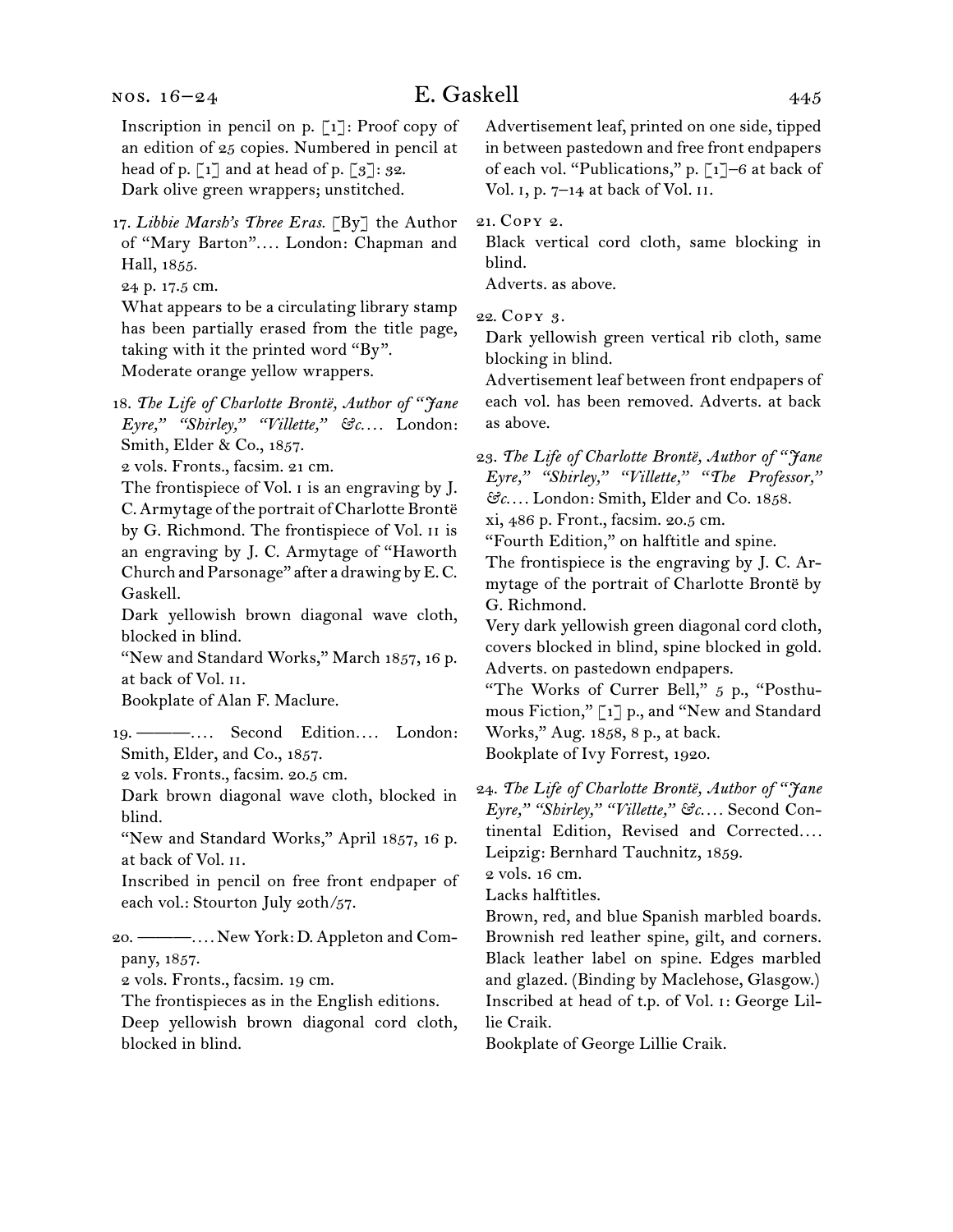#### nos. 16–24

# E. Gaskell 445

Inscription in pencil on p. [1]: Proof copy of an edition of 25 copies. Numbered in pencil at head of p.  $\lceil 1 \rceil$  and at head of p.  $\lceil 3 \rceil$ : 32. Dark olive green wrappers; unstitched.

17.  *Libbie Marsh's Three Eras.* [By] the Author of "Mary Barton"*. . . .* London: Chapman and Hall, 1855.

24 p. 17.5 cm.

What appears to be a circulating library stamp has been partially erased from the title page, taking with it the printed word "By". Moderate orange yellow wrappers.

18.  *The Life of Charlotte Brontë, Author of "Jane Eyre," "Shirley," "Villette," &c. . . .* London: Smith, Elder & Co., 1857.

2 vols. Fronts., facsim. 21 cm.

The frontispiece of Vol. I is an engraving by J. C. Armytage of the portrait of Charlotte Brontë by G. Richmond. The frontispiece of Vol. II is an engraving by J. C. Armytage of "Haworth Church andParsonage" after a drawing byE.C. Gaskell.

Dark yellowish brown diagonal wave cloth, blocked in blind.

"New and Standard Works," March 1857, 16 p. at back of Vol. ii.

Bookplate of Alan F. Maclure.

19.  ———*. . . .* Second Edition*. . . .* London: Smith, Elder, and Co., 1857.

2 vols. Fronts., facsim. 20.5 cm.

Dark brown diagonal wave cloth, blocked in blind.

"New and Standard Works," April 1857, 16 p. at back of Vol. ii.

Inscribed in pencil on free front endpaper of each vol.: Stourton July 20th/57.

20.  ———*. . . .* New York: D. Appleton and Company, 1857.

2 vols. Fronts., facsim. 19 cm.

The frontispieces as in the English editions. Deep yellowish brown diagonal cord cloth, blocked in blind.

Advertisement leaf, printed on one side, tipped in between pastedown and free front endpapers of each vol. "Publications," p. [1]–6 at back of Vol. i, p. 7–14 at back of Vol. ii.

21.  Copy 2.

Black vertical cord cloth, same blocking in blind.

Adverts. as above.

22.  Copy 3.

Dark yellowish green vertical rib cloth, same blocking in blind.

Advertisement leaf between front endpapers of each vol. has been removed. Adverts. at back as above.

23.  *The Life of Charlotte Brontë, Author of "Jane Eyre," "Shirley," "Villette," "The Professor," &c. . . .* London: Smith, Elder and Co. 1858.

xi, 486 p. Front., facsim. 20.5 cm.

"Fourth Edition," on halftitle and spine.

The frontispiece is the engraving by J. C. Armytage of the portrait of Charlotte Brontë by G. Richmond.

Very dark yellowish green diagonal cord cloth, covers blocked in blind, spine blocked in gold. Adverts. on pastedown endpapers.

"The Works of Currer Bell," 5 p., "Posthumous Fiction," [1] p., and "New and Standard Works," Aug. 1858, 8 p., at back. Bookplate of Ivy Forrest, 1920.

24. *The Life of Charlotte Brontë, Author of "Jane Eyre," "Shirley," "Villette," &c. . . .* Second Continental Edition, Revised and Corrected*. . . .* Leipzig: Bernhard Tauchnitz, 1859.

2 vols. 16 cm.

Lacks halftitles.

Brown, red, and blue Spanish marbled boards. Brownish red leather spine, gilt, and corners. Black leather label on spine. Edges marbled and glazed. (Binding by Maclehose, Glasgow.) Inscribed at head of t.p. of Vol. i: George Lillie Craik.

Bookplate of George Lillie Craik.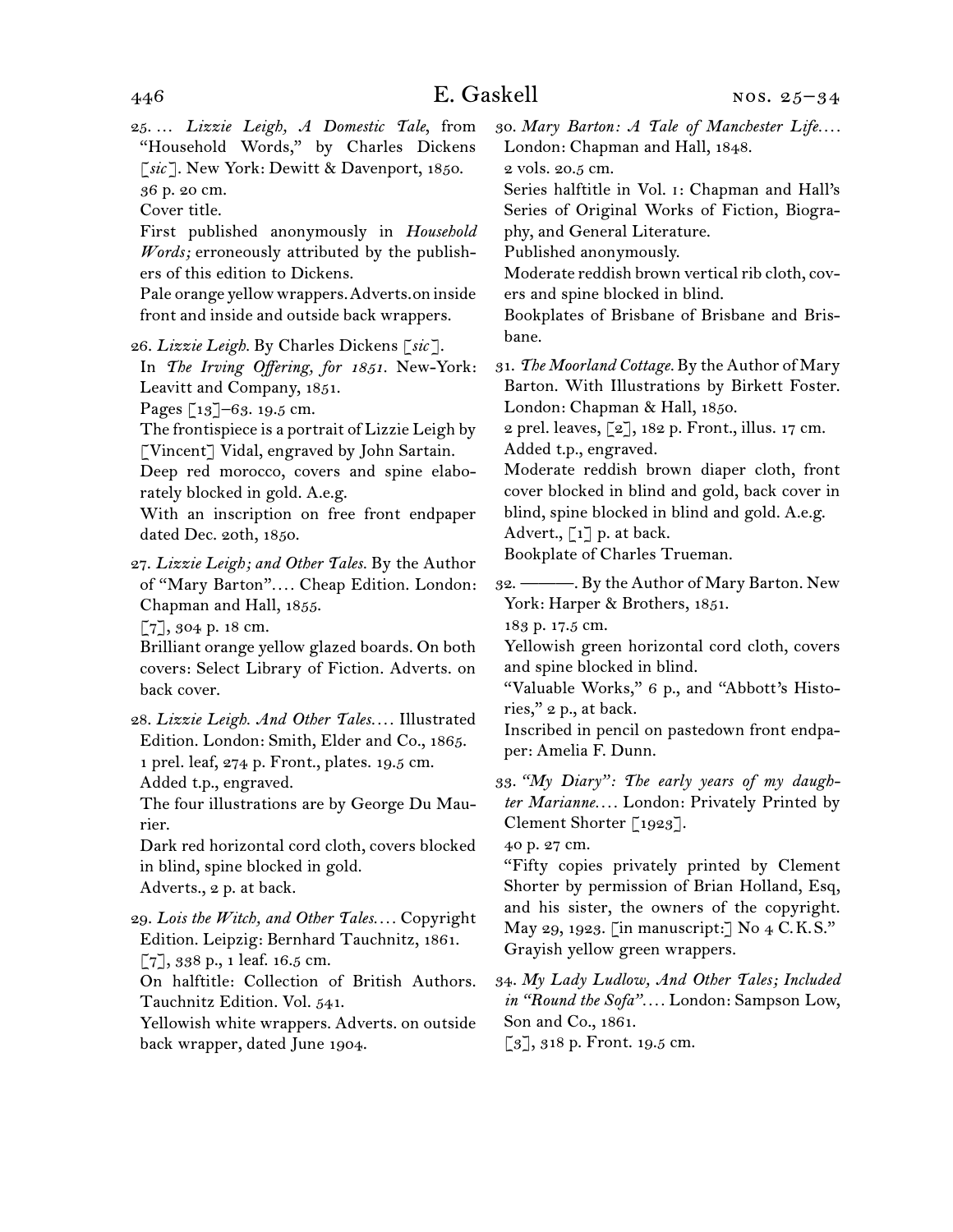25.  … *Lizzie Leigh, A Domestic Tale*, from "Household Words," by Charles Dickens [*sic* ]. New York: Dewitt & Davenport, 1850. 36 p. 20 cm.

Cover title.

First published anonymously in *Household Words;* erroneously attributed by the publishers of this edition to Dickens.

Pale orange yellowwrappers.Adverts.on inside front and inside and outside back wrappers.

26.  *Lizzie Leigh.* By Charles Dickens [*sic* ].

In *The Irving Offering, for 1851.* New-York: Leavitt and Company, 1851.

Pages [13]–63. 19.5 cm.

The frontispiece is a portrait of Lizzie Leigh by [Vincent] Vidal, engraved by John Sartain.

Deep red morocco, covers and spine elaborately blocked in gold. A.e.g.

With an inscription on free front endpaper dated Dec. 20th, 1850.

27.  *Lizzie Leigh; and Other Tales.* By the Author of "Mary Barton"*. . . .* Cheap Edition. London: Chapman and Hall, 1855.

[7], 304 p. 18 cm.

Brilliant orange yellow glazed boards. On both covers: Select Library of Fiction. Adverts. on back cover.

28.  *Lizzie Leigh. And Other Tales. . . .* Illustrated Edition. London: Smith, Elder and Co., 1865. 1 prel. leaf, 274 p. Front., plates. 19.5 cm. Added t.p., engraved.

The four illustrations are by George Du Maurier.

Dark red horizontal cord cloth, covers blocked in blind, spine blocked in gold. Adverts., 2 p. at back.

29.  *Lois the Witch, and Other Tales. . . .* Copyright Edition. Leipzig: Bernhard Tauchnitz, 1861. [7], 338 p., 1 leaf. 16.5 cm.

On halftitle: Collection of British Authors. Tauchnitz Edition. Vol. 541.

Yellowish white wrappers. Adverts. on outside back wrapper, dated June 1904.

30.  *Mary Barton: A Tale of Manchester Life. . . .* London: Chapman and Hall, 1848.

2 vols. 20.5 cm.

Series halftitle in Vol. i: Chapman and Hall's Series of Original Works of Fiction, Biography, and General Literature.

Published anonymously.

Moderate reddish brown vertical rib cloth, covers and spine blocked in blind.

Bookplates of Brisbane of Brisbane and Brisbane.

31.  *The Moorland Cottage.* By the Author of Mary Barton. With Illustrations by Birkett Foster. London: Chapman & Hall, 1850.

2 prel. leaves, [2], 182 p. Front., illus. 17 cm. Added t.p., engraved.

Moderate reddish brown diaper cloth, front cover blocked in blind and gold, back cover in blind, spine blocked in blind and gold. A.e.g. Advert.,  $\begin{bmatrix} 1 \end{bmatrix}$  p. at back.

Bookplate of Charles Trueman.

32.  ———. By the Author of Mary Barton. New York: Harper & Brothers, 1851.

183 p. 17.5 cm.

Yellowish green horizontal cord cloth, covers and spine blocked in blind.

"Valuable Works," 6 p., and "Abbott's Histories," 2 p., at back.

Inscribed in pencil on pastedown front endpaper: Amelia F. Dunn.

33.  *"My Diary": The early years of my daughter Marianne. . . .* London: Privately Printed by Clement Shorter [1923].

40 p. 27 cm.

"Fifty copies privately printed by Clement Shorter by permission of Brian Holland, Esq, and his sister, the owners of the copyright. May 29, 1923. [in manuscript:] No  $4 \text{ C.K.S.}$ " Grayish yellow green wrappers.

34.  *My Lady Ludlow, And Other Tales; Included in "Round the Sofa". . . .* London: Sampson Low, Son and Co., 1861.

[3], 318 p. Front. 19.5 cm.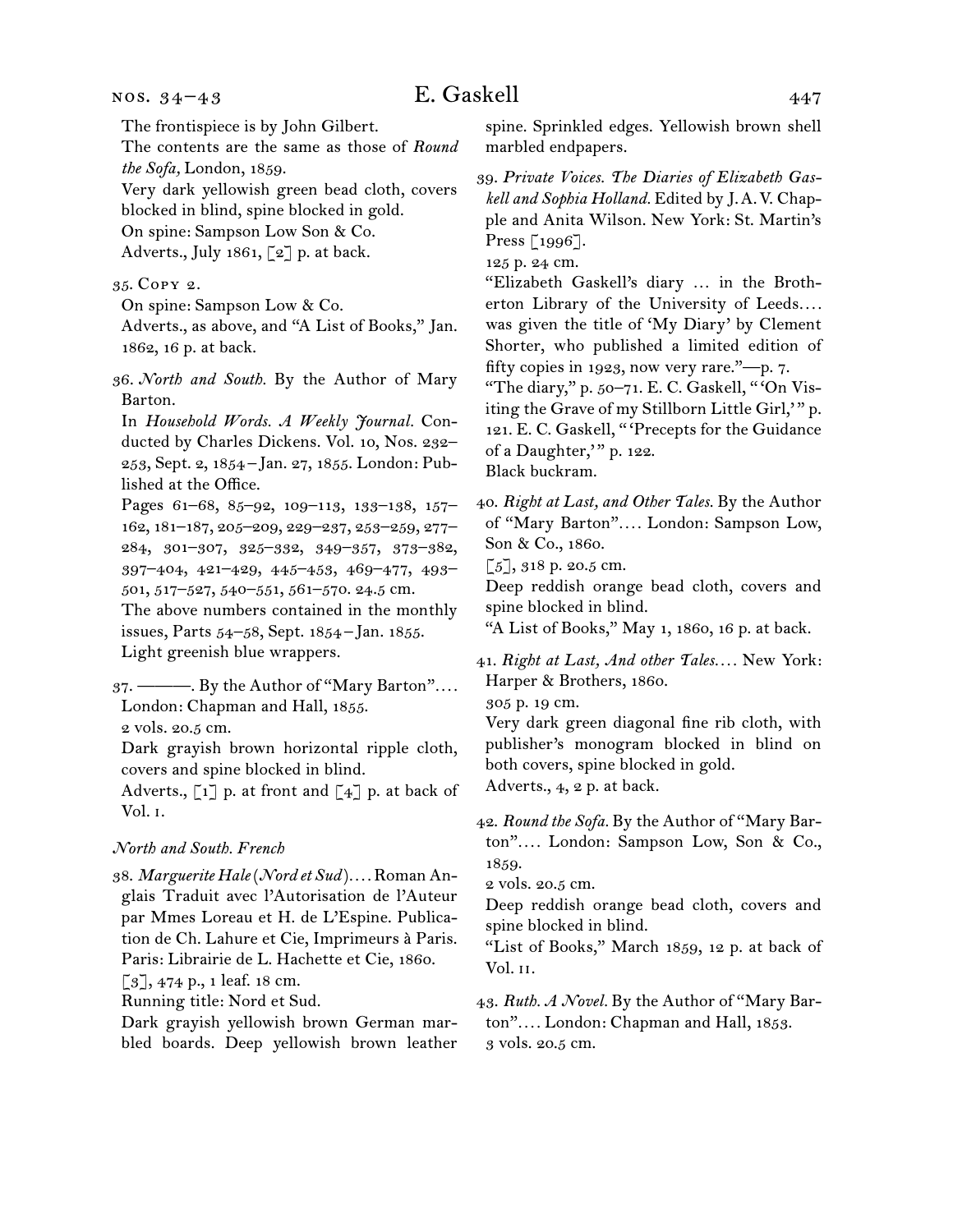#### nos. 34–43

# E. Gaskell 447

The frontispiece is by John Gilbert.

The contents are the same as those of *Round the Sofa,* London, 1859.

Very dark yellowish green bead cloth, covers blocked in blind, spine blocked in gold. On spine: Sampson Low Son & Co.

Adverts., July 1861, [2] p. at back.

35.  Copy 2.

On spine: Sampson Low & Co.

Adverts., as above, and "A List of Books," Jan. 1862, 16 p. at back.

36. *North and South.* By the Author of Mary Barton.

In *Household Words. A Weekly Journal.* Conducted by Charles Dickens. Vol. 10, Nos. 232– 253, Sept. 2, 1854 – Jan. 27, 1855. London: Published at the Office.

Pages 61–68, 85–92, 109–113, 133–138, 157– 162, 181–187, 205–209, 229–237, 253–259, 277– 284, 301–307, 325–332, 349–357, 373–382, 397–404, 421–429, 445–453, 469–477, 493– 501, 517–527, 540–551, 561–570. 24.5 cm.

The above numbers contained in the monthly issues, Parts 54–58, Sept. 1854 – Jan. 1855. Light greenish blue wrappers.

37.  ———. By the Author of "Mary Barton"*. . . .* London: Chapman and Hall, 1855.

2 vols. 20.5 cm.

Dark grayish brown horizontal ripple cloth, covers and spine blocked in blind.

Adverts.,  $\lceil 1 \rceil$  p. at front and  $\lceil 4 \rceil$  p. at back of Vol. i.

## *North and South. French*

38.  *Marguerite Hale*(*Nord et Sud* )*. . . .* Roman Anglais Traduit avec l'Autorisation de l'Auteur par Mmes Loreau et H. de L'Espine. Publication de Ch. Lahure et Cie, Imprimeurs à Paris. Paris: Librairie de L. Hachette et Cie, 1860.  $[3]$ , 474 p., 1 leaf. 18 cm.

Running title: Nord et Sud.

Dark grayish yellowish brown German marbled boards. Deep yellowish brown leather

spine. Sprinkled edges. Yellowish brown shell marbled endpapers.

39.  *Private Voices. The Diaries of Elizabeth Gaskell and Sophia Holland.* Edited by J. A. V. Chapple and Anita Wilson. New York: St. Martin's Press [1996].

125 p. 24 cm.

"Elizabeth Gaskell's diary … in the Brotherton Library of the University of Leeds*. . . .* was given the title of 'My Diary' by Clement Shorter, who published a limited edition of fifty copies in 1923, now very rare."—p. 7.

"The diary," p. 50–71. E. C. Gaskell, " 'On Visiting the Grave of my Stillborn Little Girl," p. 121. E. C. Gaskell, " 'Precepts for the Guidance of a Daughter," p. 122.

Black buckram.

40.  *Right at Last, and Other Tales.* By the Author of "Mary Barton"*. . . .* London: Sampson Low, Son & Co., 1860.

 $\lceil 5 \rceil$ , 318 p. 20.5 cm.

Deep reddish orange bead cloth, covers and spine blocked in blind.

"A List of Books," May 1, 1860, 16 p. at back.

41.  *Right at Last, And other Tales. . . .* New York: Harper & Brothers, 1860.

305 p. 19 cm.

Very dark green diagonal fine rib cloth, with publisher's monogram blocked in blind on both covers, spine blocked in gold. Adverts., 4, 2 p. at back.

42.  *Round the Sofa.* By the Author of "Mary Barton"*. . . .* London: Sampson Low, Son & Co., 1859.

2 vols. 20.5 cm.

Deep reddish orange bead cloth, covers and spine blocked in blind.

"List of Books," March 1859, 12 p. at back of Vol. ii.

43.  *Ruth. A Novel.* By the Author of "Mary Barton"*. . . .* London: Chapman and Hall, 1853. 3 vols. 20.5 cm.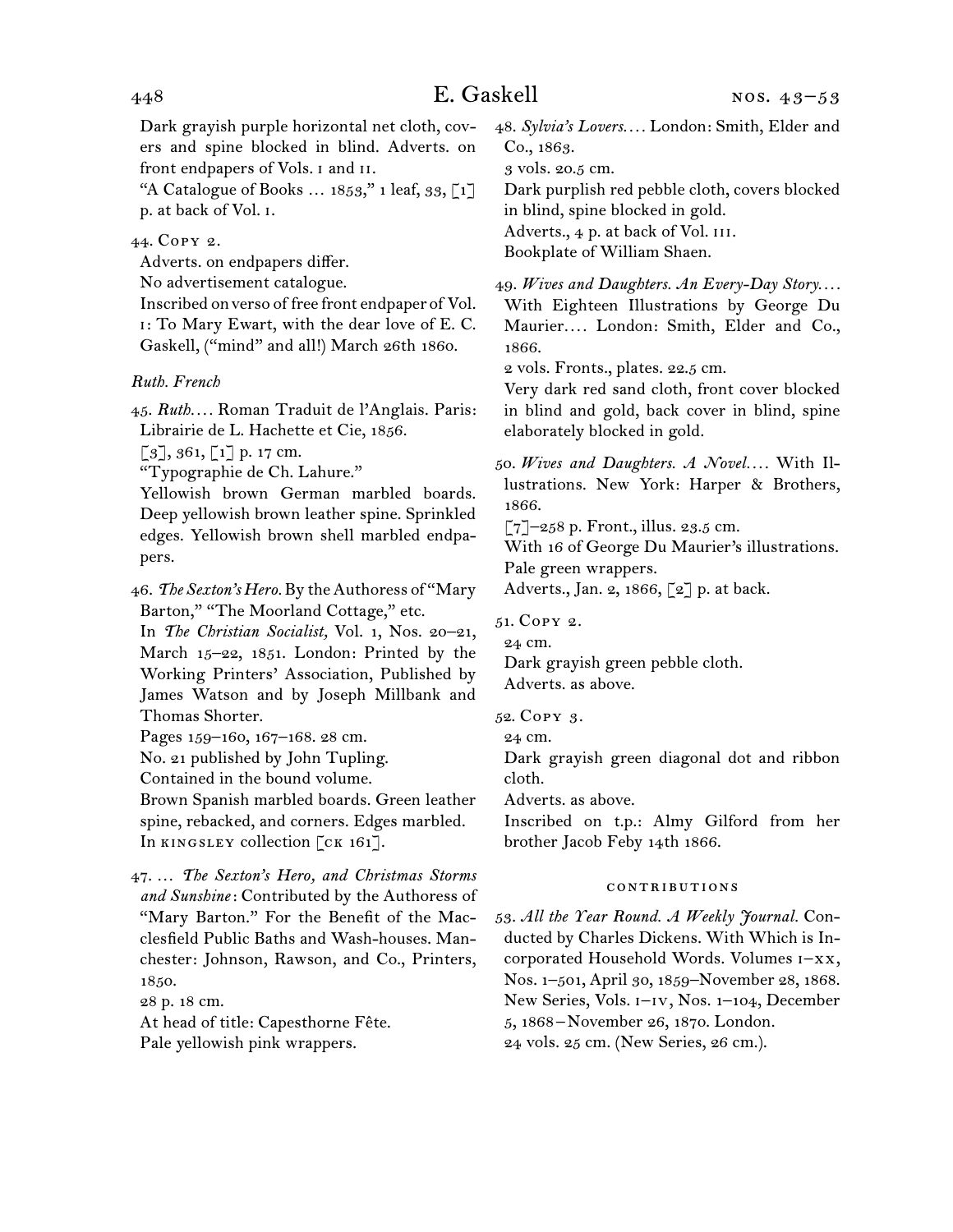Dark grayish purple horizontal net cloth, covers and spine blocked in blind. Adverts. on front endpapers of Vols. i and ii.

"A Catalogue of Books  $\ldots$  1853," 1 leaf, 33, [1] p. at back of Vol. i.

## 44.  Copy 2.

Adverts. on endpapers differ.

No advertisement catalogue.

Inscribed onverso of free front endpaper of Vol. i: To Mary Ewart, with the dear love of E. C. Gaskell, ("mind" and all!) March 26th 1860.

## *Ruth. French*

45.  *Ruth. . . .* Roman Traduit de l'Anglais. Paris: Librairie de L. Hachette et Cie, 1856.

 $[3]$ , 361,  $[1]$  p. 17 cm.

"Typographie de Ch. Lahure."

Yellowish brown German marbled boards. Deep yellowish brown leather spine. Sprinkled edges. Yellowish brown shell marbled endpapers.

46.  *The Sexton's Hero.* By theAuthoress of "Mary Barton," "The Moorland Cottage," etc.

In *The Christian Socialist,* Vol. 1, Nos. 20–21, March 15–22, 1851. London: Printed by the Working Printers' Association, Published by James Watson and by Joseph Millbank and Thomas Shorter.

Pages 159-160, 167-168. 28 cm.

No. 21 published by John Tupling.

Contained in the bound volume.

Brown Spanish marbled boards. Green leather spine, rebacked, and corners. Edges marbled. In KINGSLEY collection [CK 161].

47.  … *The Sexton's Hero, and Christmas Storms and Sunshine*: Contributed by the Authoress of "Mary Barton." For the Benefit of the Macclesfield Public Baths and Wash-houses. Manchester: Johnson, Rawson, and Co., Printers, 1850.

28 p. 18 cm.

At head of title: Capesthorne Fête.

Pale yellowish pink wrappers.

48.  *Sylvia's Lovers. . . .* London: Smith, Elder and Co., 1863.

3 vols. 20.5 cm.

Dark purplish red pebble cloth, covers blocked in blind, spine blocked in gold.

Adverts., 4 p. at back of Vol. III.

Bookplate of William Shaen.

49.  *Wives and Daughters. An Every-Day Story. . . .* With Eighteen Illustrations by George Du Maurier*. . . .* London: Smith, Elder and Co., 1866.

2 vols. Fronts., plates. 22.5 cm.

Very dark red sand cloth, front cover blocked in blind and gold, back cover in blind, spine elaborately blocked in gold.

50.  *Wives and Daughters. A Novel. . . .* With Illustrations. New York: Harper & Brothers, 1866.

 $\lbrack 7 \rbrack$ –258 p. Front., illus. 23.5 cm.

With 16 of George Du Maurier's illustrations. Pale green wrappers.

Adverts., Jan. 2, 1866, [2] p. at back.

51.  Copy 2.

24 cm.

Dark grayish green pebble cloth. Adverts. as above.

52.  Copy 3.

24 cm.

Dark grayish green diagonal dot and ribbon cloth.

Adverts. as above.

Inscribed on t.p.: Almy Gilford from her brother Jacob Feby 14th 1866.

#### contributions

53.  *All the Year Round. A Weekly Journal.* Conducted by Charles Dickens. With Which is Incorporated Household Words. Volumes i–xx, Nos. 1–501, April 30, 1859–November 28, 1868. New Series, Vols. i–iv, Nos. 1–104, December 5, 1868 – November 26, 1870. London. 24 vols. 25 cm. (New Series, 26 cm.).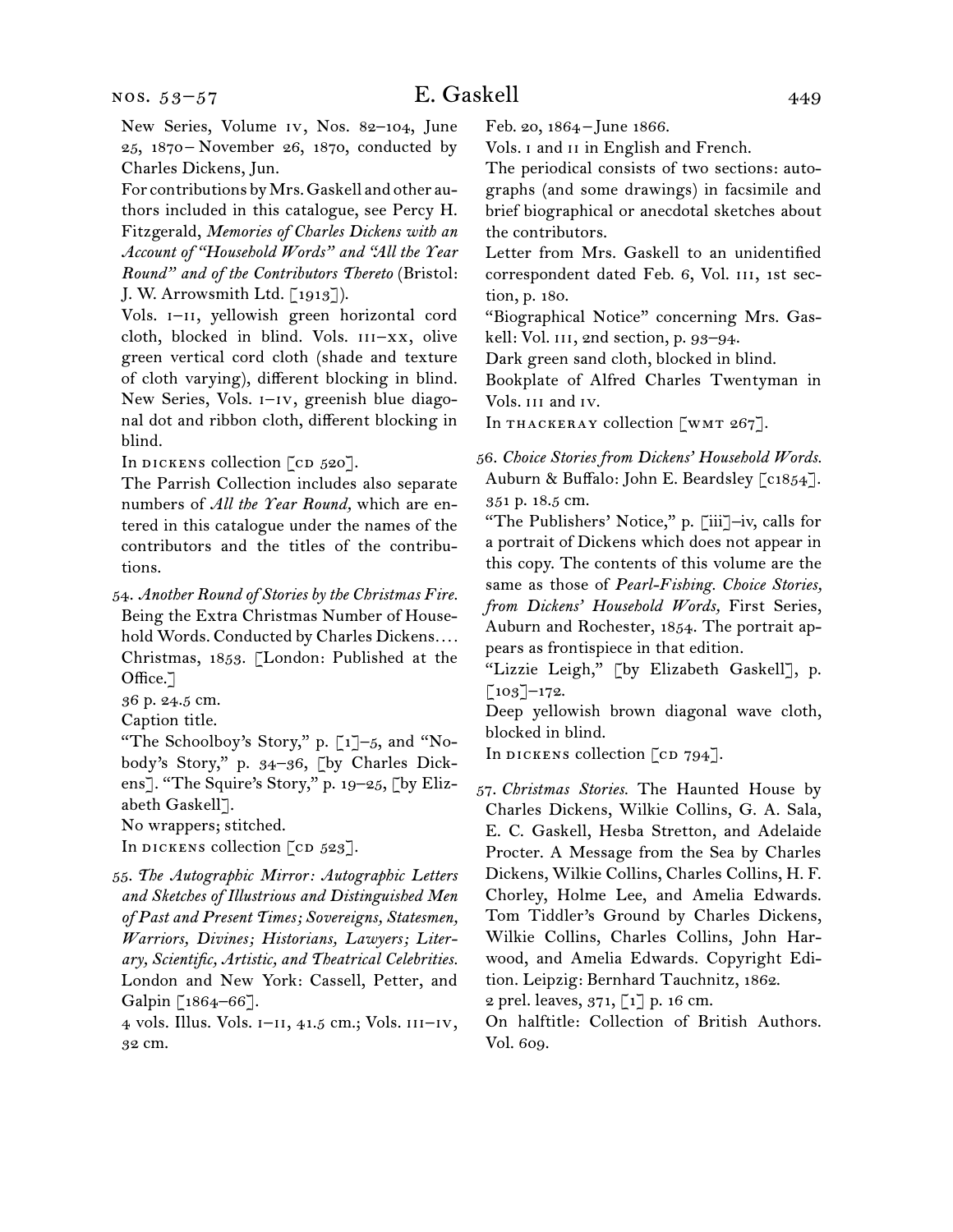nos. 53–57

# E. Gaskell 449

New Series, Volume iv, Nos. 82–104, June 25, 1870 –  November 26, 1870, conducted by Charles Dickens, Jun.

For contributions byMrs.Gaskell and other authors included in this catalogue, see Percy H. Fitzgerald, *Memories of Charles Dickens with an Account of "Household Words" and "All the Year Round" and of the Contributors Thereto* (Bristol: J. W. Arrowsmith Ltd. [1913]).

Vols. I-II, yellowish green horizontal cord cloth, blocked in blind. Vols.  $III-XX$ , olive green vertical cord cloth (shade and texture of cloth varying), different blocking in blind. New Series, Vols. i–iv, greenish blue diagonal dot and ribbon cloth, different blocking in blind.

In dickens collection  $\lceil$  cd 520].

The Parrish Collection includes also separate numbers of *All the Year Round,* which are entered in this catalogue under the names of the contributors and the titles of the contributions.

54.  *Another Round of Stories by the Christmas Fire.* Being the Extra Christmas Number of Household Words. Conducted by Charles Dickens*. . . .* Christmas, 1853. [London: Published at the Office.<sup>7</sup>

36 p. 24.5 cm.

Caption title.

"The Schoolboy's Story," p.  $\lceil 1 \rceil$ -5, and "Nobody's Story," p. 34–36, [by Charles Dickens]. "The Squire's Story," p. 19–25, [by Elizabeth Gaskell].

No wrappers; stitched.

In dickens collection  $[CD 523]$ .

55.  *The Autographic Mirror: Autographic Letters and Sketches of Illustrious and Distinguished Men of Past and Present Times; Sovereigns, Statesmen, Warriors, Divines; Historians, Lawyers; Literary, Scientific, Artistic, and Theatrical Celebrities.* London and New York: Cassell, Petter, and Galpin [1864–66].

4 vols. Illus. Vols. i–ii, 41.5 cm.; Vols. iii–iv, 32 cm.

Feb. 20, 1864 – June 1866.

Vols. I and II in English and French.

The periodical consists of two sections: autographs (and some drawings) in facsimile and brief biographical or anecdotal sketches about the contributors.

Letter from Mrs. Gaskell to an unidentified correspondent dated Feb. 6, Vol. iii, 1st section, p. 180.

"Biographical Notice" concerning Mrs. Gaskell: Vol. III, 2nd section, p. 93-94.

Dark green sand cloth, blocked in blind.

Bookplate of Alfred Charles Twentyman in Vols. iii and iv.

In THACKERAY collection [WMT 267].

56.  *Choice Stories from Dickens' Household Words.* Auburn & Buffalo: John E. Beardsley [c1854]. 351 p. 18.5 cm.

"The Publishers' Notice," p. [iii]–iv, calls for a portrait of Dickens which does not appear in this copy. The contents of this volume are the same as those of *Pearl-Fishing. Choice Stories, from Dickens' Household Words,* First Series, Auburn and Rochester, 1854. The portrait appears as frontispiece in that edition.

"Lizzie Leigh," [by Elizabeth Gaskell], p.  $\lceil 103 \rceil$ –172.

Deep yellowish brown diagonal wave cloth, blocked in blind.

In dickens collection  $\lceil$  cd 794].

2 prel. leaves, 371, [1] p. 16 cm.

On halftitle: Collection of British Authors. Vol. 609.

<sup>57.</sup>*Christmas Stories.* The Haunted House by Charles Dickens, Wilkie Collins, G. A. Sala, E. C. Gaskell, Hesba Stretton, and Adelaide Procter. A Message from the Sea by Charles Dickens, Wilkie Collins, Charles Collins, H. F. Chorley, Holme Lee, and Amelia Edwards. Tom Tiddler's Ground by Charles Dickens, Wilkie Collins, Charles Collins, John Harwood, and Amelia Edwards. Copyright Edition. Leipzig: Bernhard Tauchnitz, 1862.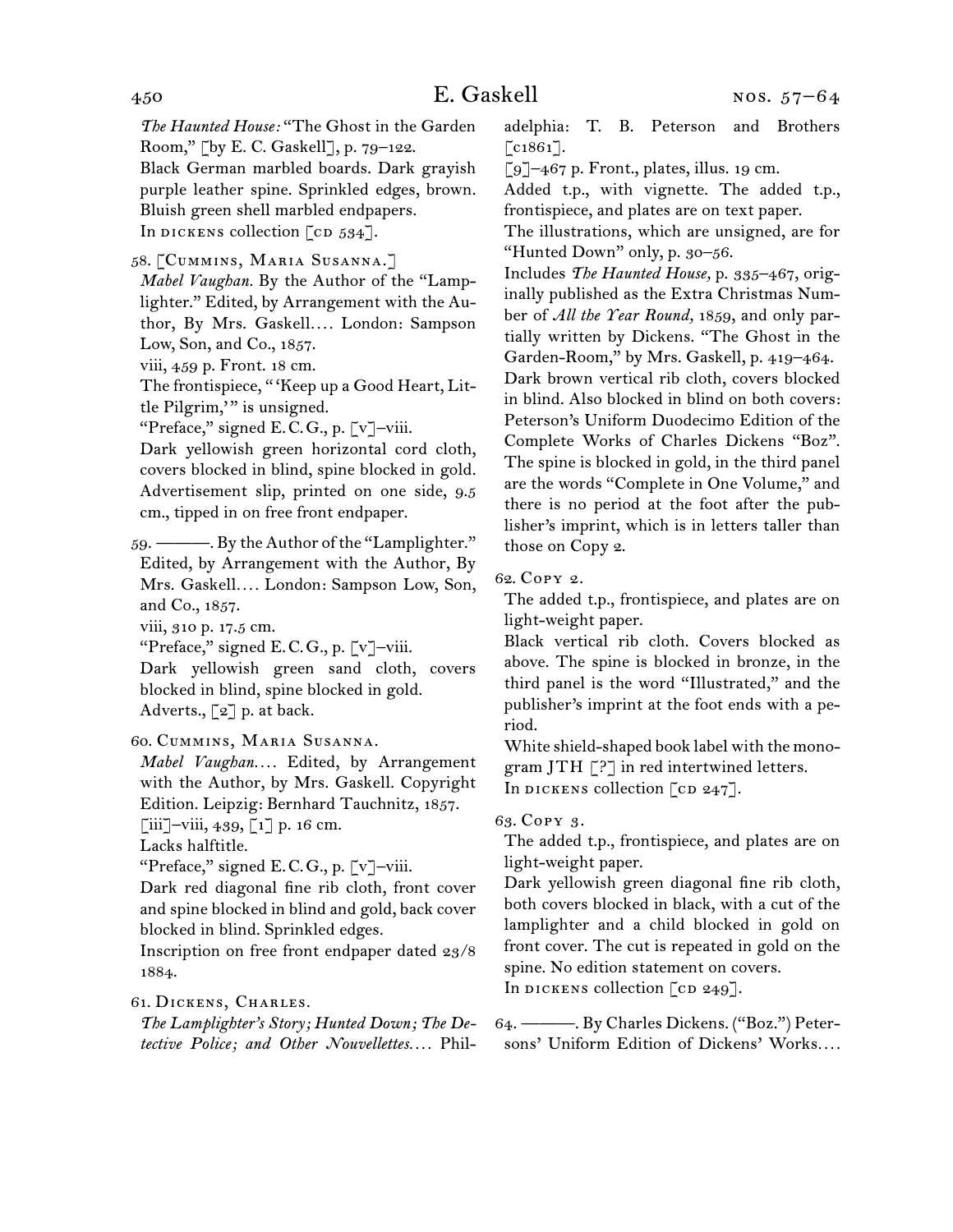*The Haunted House:* "The Ghost in the Garden Room," [by E. C. Gaskell], p. 79–122. Black German marbled boards. Dark grayish purple leather spine. Sprinkled edges, brown. Bluish green shell marbled endpapers. In dickens collection  $\lceil$  cd 534].

58.  [Cummins, Maria Susanna.]

*Mabel Vaughan.* By the Author of the "Lamplighter." Edited, by Arrangement with the Author, By Mrs. Gaskell*. . . .* London: Sampson Low, Son, and Co., 1857.

viii, 459 p. Front. 18 cm.

The frontispiece, " 'Keep up a Good Heart, Little Pilgrim," is unsigned.

"Preface," signed E. C. G., p. [v]–viii.

Dark yellowish green horizontal cord cloth, covers blocked in blind, spine blocked in gold. Advertisement slip, printed on one side, 9.5 cm., tipped in on free front endpaper.

59. ————. By the Author of the "Lamplighter." Edited, by Arrangement with the Author, By Mrs. Gaskell*. . . .* London: Sampson Low, Son, and Co., 1857. viii, 310 p. 17.5 cm.

"Preface," signed E. C. G., p. [v]–viii.

Dark yellowish green sand cloth, covers blocked in blind, spine blocked in gold. Adverts., [2] p. at back.

# 60.  Cummins, Maria Susanna.

*Mabel Vaughan. . . .* Edited, by Arrangement with the Author, by Mrs. Gaskell. Copyright Edition. Leipzig: Bernhard Tauchnitz, 1857.  $\left[\begin{matrix}iii\\-viii\\439\\0\end{matrix}\right]$ ,  $\left[\begin{matrix}1\\1\end{matrix}\right]$  p. 16 cm.

Lacks halftitle.

"Preface," signed E. C. G., p. [v]–viii.

Dark red diagonal fine rib cloth, front cover and spine blocked in blind and gold, back cover blocked in blind. Sprinkled edges.

Inscription on free front endpaper dated 23/8 1884.

# 61.  Dickens, Charles.

*The Lamplighter's Story; Hunted Down; The Detective Police; and Other Nouvellettes. . . .* Philadelphia: T. B. Peterson and Brothers  $[$ c1861 $]$ .

 $\lceil 9 \rceil$ –467 p. Front., plates, illus. 19 cm.

Added t.p., with vignette. The added t.p., frontispiece, and plates are on text paper.

The illustrations, which are unsigned, are for "Hunted Down" only, p. 30–56.

Includes *The Haunted House,* p. 335–467, originally published as the Extra Christmas Number of *All the Year Round,* 1859, and only partially written by Dickens. "The Ghost in the Garden-Room," by Mrs. Gaskell, p. 419–464. Dark brown vertical rib cloth, covers blocked in blind. Also blocked in blind on both covers: Peterson's Uniform Duodecimo Edition of the Complete Works of Charles Dickens "Boz". The spine is blocked in gold, in the third panel are the words "Complete in One Volume," and there is no period at the foot after the publisher's imprint, which is in letters taller than those on Copy 2.

# 62.  Copy 2.

The added t.p., frontispiece, and plates are on light-weight paper.

Black vertical rib cloth. Covers blocked as above. The spine is blocked in bronze, in the third panel is the word "Illustrated," and the publisher's imprint at the foot ends with a period.

White shield-shaped book label with the monogram JTH  $\lceil ? \rceil$  in red intertwined letters. In DICKENS collection  $\lceil$  cD 247].

# 63.  Copy 3.

The added t.p., frontispiece, and plates are on light-weight paper.

Dark yellowish green diagonal fine rib cloth, both covers blocked in black, with a cut of the lamplighter and a child blocked in gold on front cover. The cut is repeated in gold on the spine. No edition statement on covers. In DICKENS collection  $[CD 249]$ .

64.  ———. By Charles Dickens. ("Boz.") Petersons' Uniform Edition of Dickens' Works*. . . .*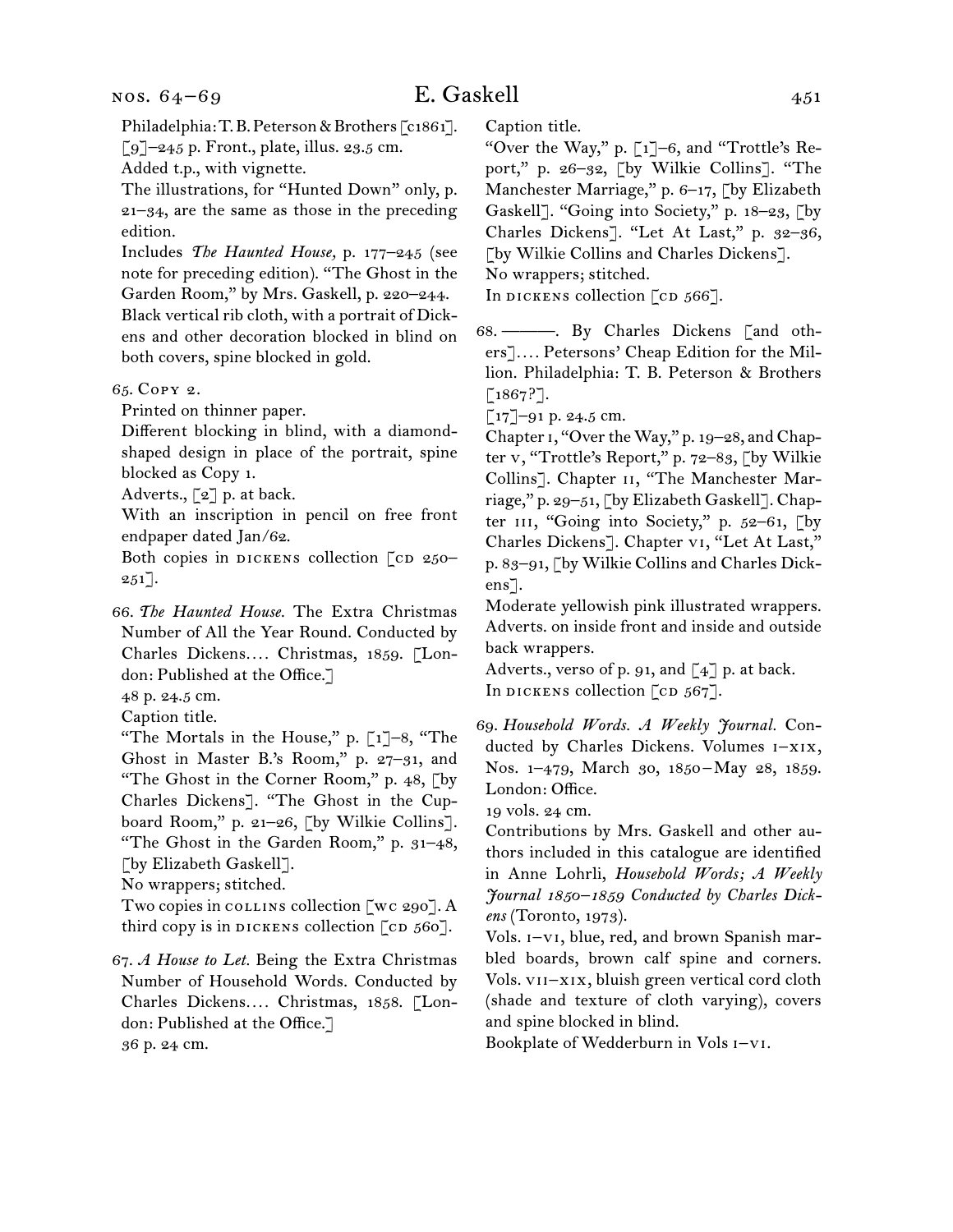Philadelphia: T.B. Peterson & Brothers [c1861].  $\lceil 9 \rceil$ –245 p. Front., plate, illus. 23.5 cm. Added t.p., with vignette.

The illustrations, for "Hunted Down" only, p. 21–34, are the same as those in the preceding

edition. Includes *The Haunted House,* p. 177–245 (see

note for preceding edition). "The Ghost in the Garden Room," by Mrs. Gaskell, p. 220–244. Black vertical rib cloth, with a portrait of Dickens and other decoration blocked in blind on both covers, spine blocked in gold.

65.  Copy 2.

Printed on thinner paper.

Different blocking in blind, with a diamondshaped design in place of the portrait, spine blocked as Copy 1.

Adverts.,  $\lbrack 2 \rbrack$  p. at back.

With an inscription in pencil on free front endpaper dated Jan/62.

Both copies in DICKENS collection  $\lceil$  cD 250–  $251$ .

66.  *The Haunted House.* The Extra Christmas Number of All the Year Round. Conducted by Charles Dickens*. . . .* Christmas, 1859. [London: Published at the Office.]

48 p. 24.5 cm.

Caption title.

"The Mortals in the House," p.  $\lceil 1 \rceil - 8$ , "The Ghost in Master B.'s Room," p. 27–31, and "The Ghost in the Corner Room," p. 48, [by Charles Dickens]. "The Ghost in the Cupboard Room," p. 21–26, [by Wilkie Collins]. "The Ghost in the Garden Room," p. 31–48, [by Elizabeth Gaskell].

No wrappers; stitched.

Two copies in collins collection [wc 290]. A third copy is in DICKENS collection  $\lceil$  cD 560].

67.  *A House to Let.* Being the Extra Christmas Number of Household Words. Conducted by Charles Dickens*. . . .* Christmas, 1858. [London: Published at the Office.] 36 p. 24 cm.

Caption title.

"Over the Way," p. [1]–6, and "Trottle's Report," p. 26–32, [by Wilkie Collins]. "The Manchester Marriage," p. 6-17, [by Elizabeth Gaskell]. "Going into Society," p. 18–23, [by Charles Dickens]. "Let At Last," p. 32–36, [by Wilkie Collins and Charles Dickens]. No wrappers; stitched. In dickens collection  $\lceil$  cd  $566\rceil$ .

68.  ———. By Charles Dickens [and others]*. . . .* Petersons' Cheap Edition for the Million. Philadelphia: T. B. Peterson & Brothers  $[1867?$ ].

 $\lbrack 17 \rbrack - 91$  p. 24.5 cm.

Chapter 1, "Over the Way," p. 19–28, and Chapter v, "Trottle's Report," p. 72–83, [by Wilkie Collins]. Chapter ii, "The Manchester Marriage," p. 29–51, [by Elizabeth Gaskell]. Chapter III, "Going into Society," p.  $52-61$ , [by Charles Dickens]. Chapter vi, "Let At Last," p. 83–91, [by Wilkie Collins and Charles Dickens].

Moderate yellowish pink illustrated wrappers. Adverts. on inside front and inside and outside back wrappers.

Adverts., verso of p. 91, and  $\lceil 4 \rceil$  p. at back. In dickens collection  $[CD 567]$ .

69.  *Household Words. A Weekly Journal.* Conducted by Charles Dickens. Volumes i–xix, Nos. 1-479, March 30, 1850-May 28, 1859. London: Office.

19 vols. 24 cm.

Contributions by Mrs. Gaskell and other authors included in this catalogue are identified in Anne Lohrli, *Household Words; A Weekly Journal 1850–1859 Conducted by Charles Dickens* (Toronto, 1973).

Vols. i–vi, blue, red, and brown Spanish marbled boards, brown calf spine and corners. Vols. vii–xix, bluish green vertical cord cloth (shade and texture of cloth varying), covers and spine blocked in blind.

Bookplate of Wedderburn in Vols i–vi.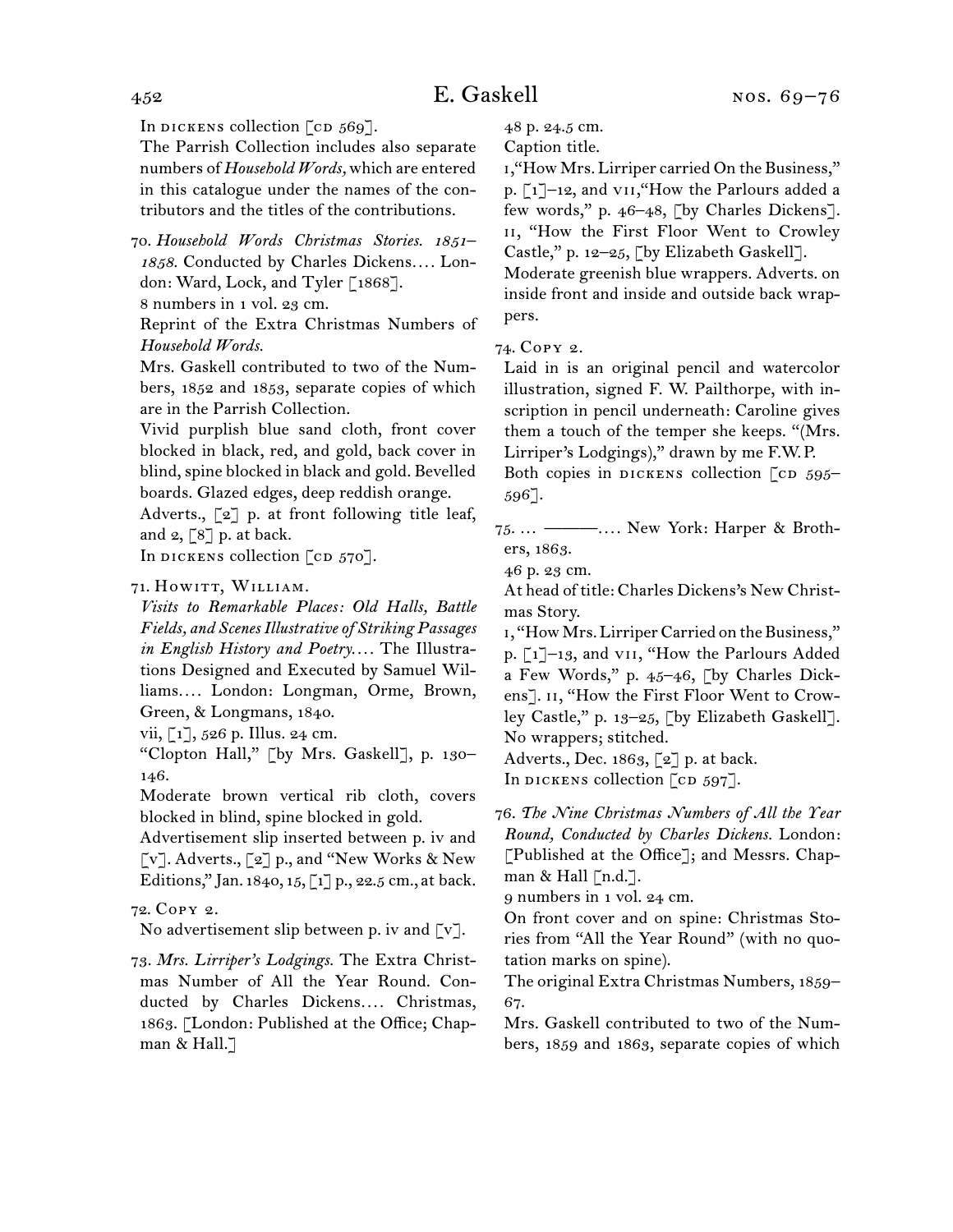In dickens collection  $\lceil$  cd  $569\rceil$ .

The Parrish Collection includes also separate numbers of *Household Words,* which are entered in this catalogue under the names of the contributors and the titles of the contributions.

70.  *Household Words Christmas Stories. 1851– 1858.* Conducted by Charles Dickens*. . . .* London: Ward, Lock, and Tyler [1868].

8 numbers in 1 vol. 23 cm.

Reprint of the Extra Christmas Numbers of *Household Words.*

Mrs. Gaskell contributed to two of the Numbers, 1852 and 1853, separate copies of which are in the Parrish Collection.

Vivid purplish blue sand cloth, front cover blocked in black, red, and gold, back cover in blind, spine blocked in black and gold. Bevelled boards. Glazed edges, deep reddish orange.

Adverts., [2] p. at front following title leaf, and  $2,$  [8] p. at back.

In DICKENS collection  $[CD 570]$ .

71. HOWITT, WILLIAM.

*Visits to Remarkable Places: Old Halls, Battle Fields, and Scenes Illustrative of Striking Passages in English History and Poetry. . . .* The Illustrations Designed and Executed by Samuel Williams*. . . .* London: Longman, Orme, Brown, Green, & Longmans, 1840.

vii,  $\lceil 1 \rceil$ , 526 p. Illus. 24 cm.

"Clopton Hall," [by Mrs. Gaskell], p. 130– 146.

Moderate brown vertical rib cloth, covers blocked in blind, spine blocked in gold.

Advertisement slip inserted between p. iv and [v]. Adverts., [2] p., and "New Works & New Editions," Jan. 1840, 15, [1] p., 22.5 cm., at back.

72.  Copy 2.

No advertisement slip between p. iv and  $\lbrack \mathbf{v} \rbrack$ .

73.  *Mrs. Lirriper's Lodgings.* The Extra Christmas Number of All the Year Round. Conducted by Charles Dickens.... Christmas, 1863. [London: Published at the Office; Chapman & Hall.]

48 p. 24.5 cm.

Caption title.

i,"How Mrs. Lirriper carried On the Business," p. [1]-12, and vII, "How the Parlours added a few words," p. 46–48, [by Charles Dickens]. ii, "How the First Floor Went to Crowley Castle," p. 12–25, [by Elizabeth Gaskell].

Moderate greenish blue wrappers. Adverts. on inside front and inside and outside back wrappers.

74.  Copy 2.

Laid in is an original pencil and watercolor illustration, signed F. W. Pailthorpe, with inscription in pencil underneath: Caroline gives them a touch of the temper she keeps. "(Mrs. Lirriper's Lodgings)," drawn by me F.W. P.

Both copies in DICKENS collection  $\lceil$  cD 595– 596].

75.  … ———*. . . .* New York: Harper & Brothers, 1863.

46 p. 23 cm.

At head of title: Charles Dickens's New Christmas Story.

1, "How Mrs. Lirriper Carried on the Business," p. [1]–13, and vii, "How the Parlours Added a Few Words," p. 45–46, [by Charles Dickens]. II, "How the First Floor Went to Crowley Castle," p. 13–25, [by Elizabeth Gaskell]. No wrappers; stitched.

Adverts., Dec. 1863, [2] p. at back.

In dickens collection  $\lceil$  cd 597].

76.  *The Nine Christmas Numbers of All the Year Round, Conducted by Charles Dickens.* London: [Published at the Office]; and Messrs. Chapman  $\&$  Hall [n.d.].

9 numbers in 1 vol. 24 cm.

On front cover and on spine: Christmas Stories from "All the Year Round" (with no quotation marks on spine).

The original Extra Christmas Numbers, 1859– 67.

Mrs. Gaskell contributed to two of the Numbers, 1859 and 1863, separate copies of which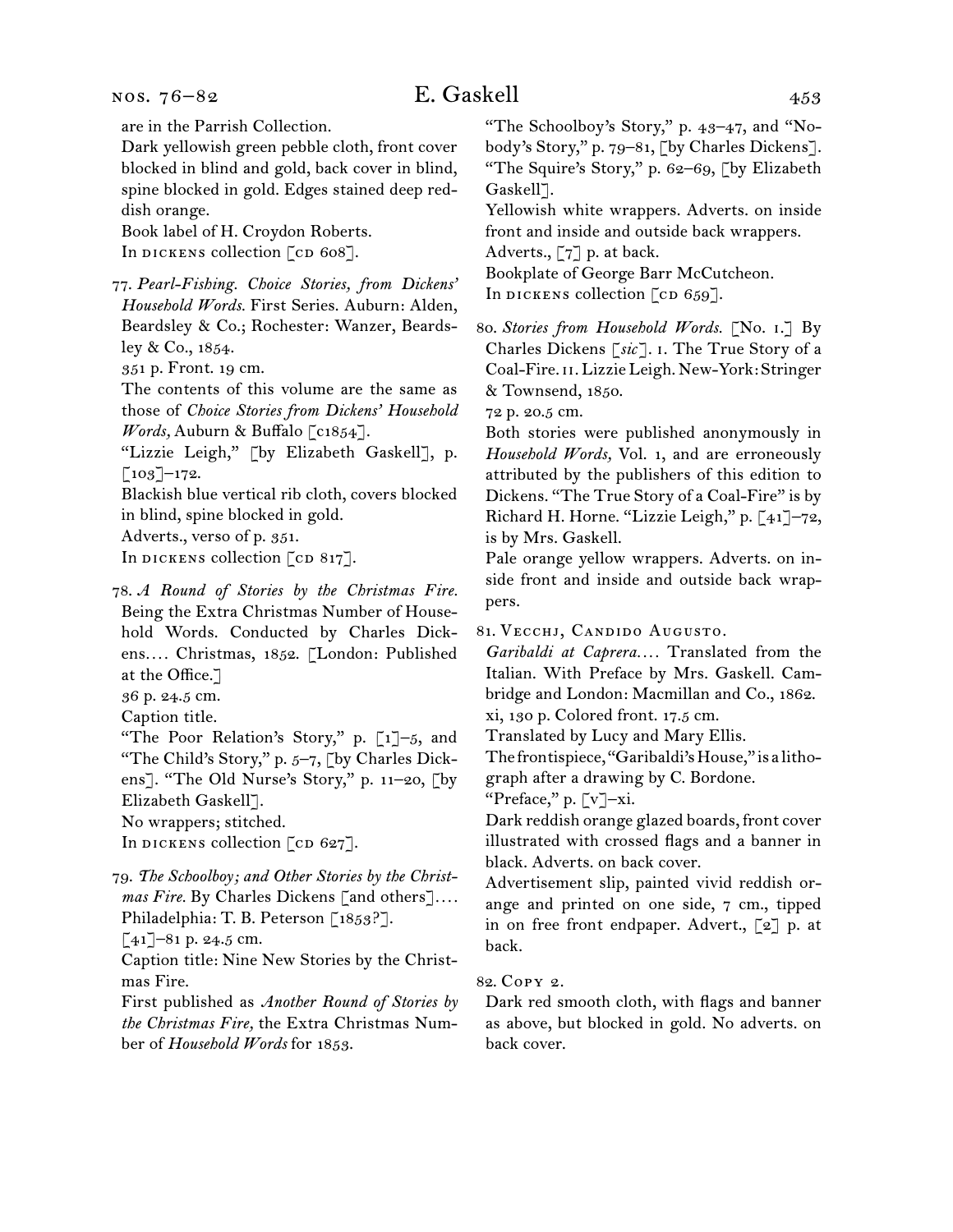are in the Parrish Collection.

Dark yellowish green pebble cloth, front cover blocked in blind and gold, back cover in blind, spine blocked in gold. Edges stained deep reddish orange.

Book label of H. Croydon Roberts. In DICKENS collection [CD 608].

77.  *Pearl-Fishing. Choice Stories, from Dickens' Household Words.* First Series. Auburn: Alden, Beardsley & Co.; Rochester: Wanzer, Beardsley & Co., 1854.

351 p. Front. 19 cm.

The contents of this volume are the same as those of *Choice Stories from Dickens' Household Words,* Auburn & Buffalo [c1854].

"Lizzie Leigh," [by Elizabeth Gaskell], p.  $\lceil 103 \rceil$ –172.

Blackish blue vertical rib cloth, covers blocked in blind, spine blocked in gold.

Adverts., verso of p. 351.

In DICKENS collection  $\lceil$  cD 817].

78.  *A Round of Stories by the Christmas Fire.*  Being the Extra Christmas Number of Household Words. Conducted by Charles Dickens*. . . .* Christmas, 1852. [London: Published at the Office.]

36 p. 24.5 cm.

Caption title.

"The Poor Relation's Story," p. [1]–5, and "The Child's Story," p. 5-7, [by Charles Dickens]. "The Old Nurse's Story," p. 11–20, [by Elizabeth Gaskell].

No wrappers; stitched.

In DICKENS collection  $[CD 627]$ .

79.  *The Schoolboy; and Other Stories by the Christmas Fire.* By Charles Dickens [and others]*. . . .* Philadelphia: T. B. Peterson [1853?].

 $[41]$ –81 p. 24.5 cm.

Caption title: Nine New Stories by the Christmas Fire.

First published as *Another Round of Stories by the Christmas Fire,* the Extra Christmas Number of *Household Words* for 1853.

"The Schoolboy's Story," p. 43–47, and "Nobody's Story," p. 79–81, [by Charles Dickens]. "The Squire's Story," p. 62–69, [by Elizabeth Gaskell<sup>7</sup>.

Yellowish white wrappers. Adverts. on inside front and inside and outside back wrappers. Adverts., [7] p. at back.

Bookplate of George Barr McCutcheon.

In dickens collection  $\lceil$  cd 659].

80.  *Stories from Household Words.* [No. i.] By Charles Dickens [*sic*]. i. The True Story of a Coal-Fire. ii. Lizzie Leigh. New-York: Stringer & Townsend, 1850.

72 p. 20.5 cm.

Both stories were published anonymously in *Household Words,* Vol. 1, and are erroneously attributed by the publishers of this edition to Dickens. "The True Story of a Coal-Fire" is by Richard H. Horne. "Lizzie Leigh," p. [41]–72, is by Mrs. Gaskell.

Pale orange yellow wrappers. Adverts. on inside front and inside and outside back wrappers.

81.  Vecchj, Candido Augusto.

*Garibaldi at Caprera. . . .* Translated from the Italian. With Preface by Mrs. Gaskell. Cambridge and London: Macmillan and Co., 1862. xi, 130 p. Colored front. 17.5 cm.

Translated by Lucy and Mary Ellis.

The frontispiece, "Garibaldi'sHouse," is a litho-

graph after a drawing by C. Bordone.

"Preface," p. [v]–xi.

Dark reddish orange glazed boards, front cover illustrated with crossed flags and a banner in black. Adverts. on back cover.

Advertisement slip, painted vivid reddish orange and printed on one side, 7 cm., tipped in on free front endpaper. Advert., [2] p. at back.

82.  Copy 2.

Dark red smooth cloth, with flags and banner as above, but blocked in gold. No adverts. on back cover.